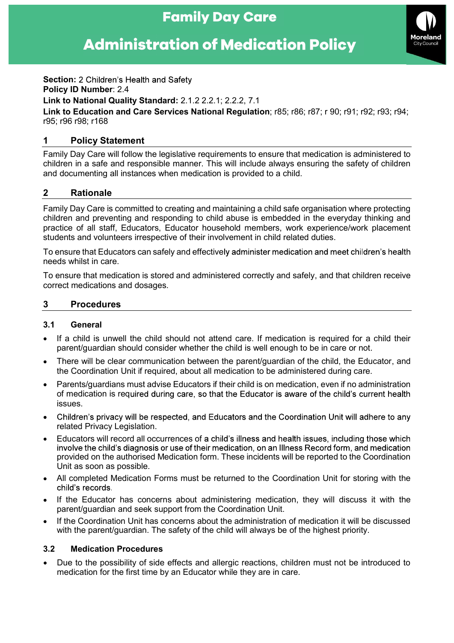# **Family Day Care**

# **Administration of Medication Policy**



**Section: 2 Children's Health and Safety** Policy ID Number: 2.4

Link to National Quality Standard: 2.1.2 2.2.1; 2.2.2, 7.1

Link to Education and Care Services National Regulation; r85; r86; r87; r 90; r91; r92; r93; r94; r95; r96 r98; r168

# 1 Policy Statement

Family Day Care will follow the legislative requirements to ensure that medication is administered to children in a safe and responsible manner. This will include always ensuring the safety of children and documenting all instances when medication is provided to a child.

# 2 Rationale

Family Day Care is committed to creating and maintaining a child safe organisation where protecting children and preventing and responding to child abuse is embedded in the everyday thinking and practice of all staff, Educators, Educator household members, work experience/work placement students and volunteers irrespective of their involvement in child related duties.

To ensure that Educators can safely and effectively administer medication and meet children's health needs whilst in care.

To ensure that medication is stored and administered correctly and safely, and that children receive correct medications and dosages.

#### 3 Procedures

#### 3.1 General

- If a child is unwell the child should not attend care. If medication is required for a child their parent/guardian should consider whether the child is well enough to be in care or not.
- There will be clear communication between the parent/guardian of the child, the Educator, and the Coordination Unit if required, about all medication to be administered during care.
- Parents/guardians must advise Educators if their child is on medication, even if no administration of medication is required during care, so that the Educator is aware of the child's current health issues.
- Children's privacy will be respected, and Educators and the Coordination Unit will adhere to any related Privacy Legislation.
- Educators will record all occurrences of a child's illness and health issues, including those which<br>involve the child's diagnosis or use of their medication, on an Illness Record form, and medication provided on the authorised Medication form. These incidents will be reported to the Coordination Unit as soon as possible.
- All completed Medication Forms must be returned to the Coordination Unit for storing with the child's records.
- If the Educator has concerns about administering medication, they will discuss it with the parent/guardian and seek support from the Coordination Unit.
- If the Coordination Unit has concerns about the administration of medication it will be discussed with the parent/guardian. The safety of the child will always be of the highest priority.

#### 3.2 Medication Procedures

 Due to the possibility of side effects and allergic reactions, children must not be introduced to medication for the first time by an Educator while they are in care.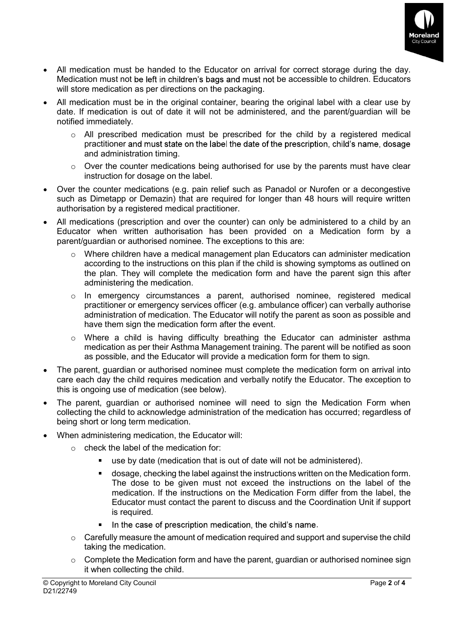

- All medication must be handed to the Educator on arrival for correct storage during the day. Medication must not be left in children's bags and must not be accessible to children. Educators will store medication as per directions on the packaging.
- All medication must be in the original container, bearing the original label with a clear use by date. If medication is out of date it will not be administered, and the parent/guardian will be notified immediately.
	- $\circ$  All prescribed medication must be prescribed for the child by a registered medical practitioner and must state on the label the date of the prescription, child's name, dosage and administration timing.
	- $\circ$  Over the counter medications being authorised for use by the parents must have clear instruction for dosage on the label.
- Over the counter medications (e.g. pain relief such as Panadol or Nurofen or a decongestive such as Dimetapp or Demazin) that are required for longer than 48 hours will require written authorisation by a registered medical practitioner.
- All medications (prescription and over the counter) can only be administered to a child by an Educator when written authorisation has been provided on a Medication form by a parent/guardian or authorised nominee. The exceptions to this are:
	- $\circ$  Where children have a medical management plan Educators can administer medication according to the instructions on this plan if the child is showing symptoms as outlined on the plan. They will complete the medication form and have the parent sign this after administering the medication.
	- o In emergency circumstances a parent, authorised nominee, registered medical practitioner or emergency services officer (e.g. ambulance officer) can verbally authorise administration of medication. The Educator will notify the parent as soon as possible and have them sign the medication form after the event.
	- o Where a child is having difficulty breathing the Educator can administer asthma medication as per their Asthma Management training. The parent will be notified as soon as possible, and the Educator will provide a medication form for them to sign.
- The parent, guardian or authorised nominee must complete the medication form on arrival into care each day the child requires medication and verbally notify the Educator. The exception to this is ongoing use of medication (see below).
- The parent, guardian or authorised nominee will need to sign the Medication Form when collecting the child to acknowledge administration of the medication has occurred; regardless of being short or long term medication.
- When administering medication, the Educator will:
	- $\circ$  check the label of the medication for:
		- use by date (medication that is out of date will not be administered).
		- dosage, checking the label against the instructions written on the Medication form. The dose to be given must not exceed the instructions on the label of the medication. If the instructions on the Medication Form differ from the label, the Educator must contact the parent to discuss and the Coordination Unit if support is required.
		- In the case of prescription medication, the child's name.  $\blacksquare$
	- $\circ$  Carefully measure the amount of medication required and support and supervise the child taking the medication.
	- $\circ$  Complete the Medication form and have the parent, guardian or authorised nominee sign it when collecting the child.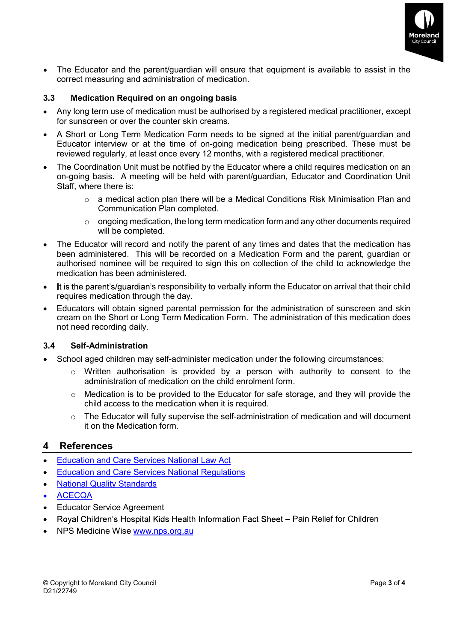

 The Educator and the parent/guardian will ensure that equipment is available to assist in the correct measuring and administration of medication.

# 3.3 Medication Required on an ongoing basis

- Any long term use of medication must be authorised by a registered medical practitioner, except for sunscreen or over the counter skin creams.
- A Short or Long Term Medication Form needs to be signed at the initial parent/guardian and Educator interview or at the time of on-going medication being prescribed. These must be reviewed regularly, at least once every 12 months, with a registered medical practitioner.
- The Coordination Unit must be notified by the Educator where a child requires medication on an on-going basis. A meeting will be held with parent/guardian, Educator and Coordination Unit Staff, where there is:
	- $\circ$  a medical action plan there will be a Medical Conditions Risk Minimisation Plan and Communication Plan completed.
	- $\circ$  ongoing medication, the long term medication form and any other documents required will be completed.
- The Educator will record and notify the parent of any times and dates that the medication has been administered. This will be recorded on a Medication Form and the parent, guardian or authorised nominee will be required to sign this on collection of the child to acknowledge the medication has been administered.
- It is the parent's/guardian's responsibility to verbally inform the Educator on arrival that their child requires medication through the day.
- Educators will obtain signed parental permission for the administration of sunscreen and skin cream on the Short or Long Term Medication Form. The administration of this medication does not need recording daily.

#### 3.4 Self-Administration

- School aged children may self-administer medication under the following circumstances:
	- o Written authorisation is provided by a person with authority to consent to the administration of medication on the child enrolment form.
	- $\circ$  Medication is to be provided to the Educator for safe storage, and they will provide the child access to the medication when it is required.
	- $\circ$  The Educator will fully supervise the self-administration of medication and will document it on the Medication form.

# 4 References

- 
- Education and Care Services National Law Act Education and Care Services National Regulations National Quality Standards
- $\bullet$
- ACECQA
- Educator Service Agreement
- Royal Children's Hospital Kids Health Information Fact Sheet Pain Relief for Children  $\bullet$
- NPS Medicine Wise www.nps.org.au